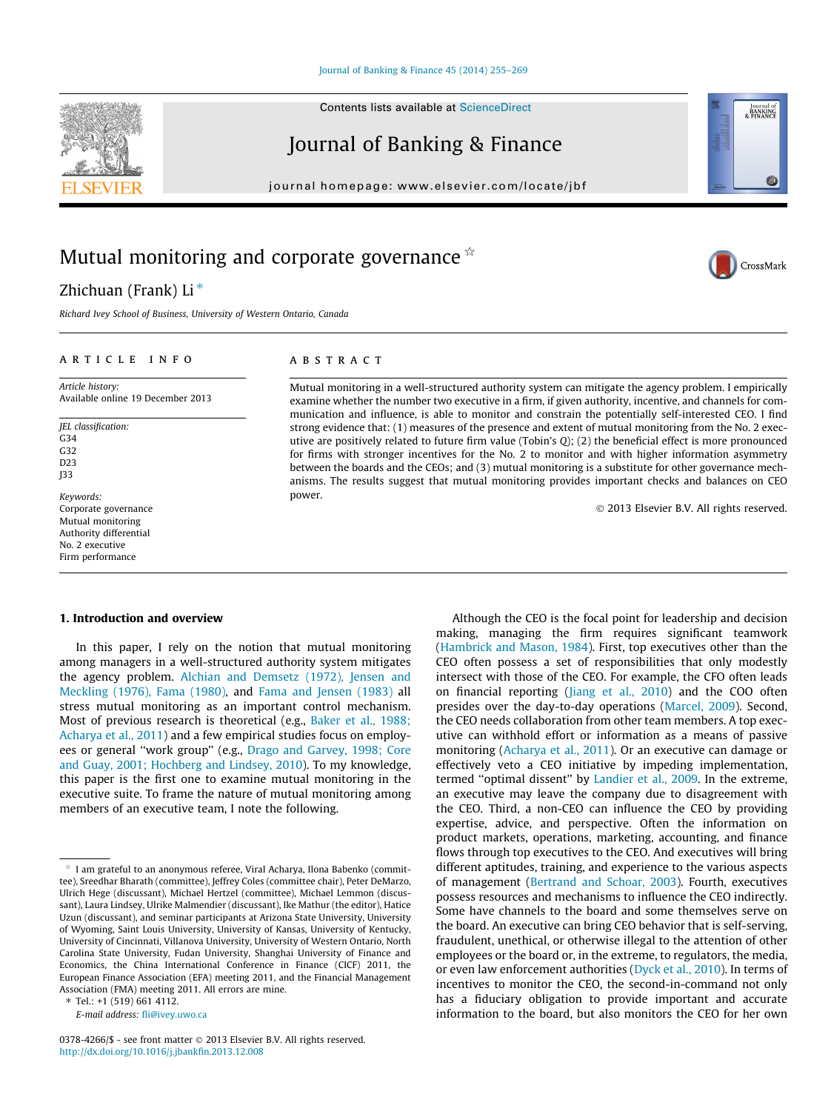Contents lists available at [ScienceDirect](http://www.sciencedirect.com/science/journal/03784266)

## Journal of Banking & Finance

journal homepage: [www.elsevier.com/locate/jbf](http://www.elsevier.com/locate/jbf)

## Mutual monitoring and corporate governance  $\dot{\mathbb{R}}$

### Zhichuan (Frank) Li $*$

Richard Ivey School of Business, University of Western Ontario, Canada

#### article info

Article history: Available online 19 December 2013

JEL classification:  $C<sub>34</sub>$ G32 D23 J33

Keywords: Corporate governance Mutual monitoring Authority differential No. 2 executive Firm performance

#### **ABSTRACT**

Mutual monitoring in a well-structured authority system can mitigate the agency problem. I empirically examine whether the number two executive in a firm, if given authority, incentive, and channels for communication and influence, is able to monitor and constrain the potentially self-interested CEO. I find strong evidence that: (1) measures of the presence and extent of mutual monitoring from the No. 2 executive are positively related to future firm value (Tobin's Q); (2) the beneficial effect is more pronounced for firms with stronger incentives for the No. 2 to monitor and with higher information asymmetry between the boards and the CEOs; and (3) mutual monitoring is a substitute for other governance mechanisms. The results suggest that mutual monitoring provides important checks and balances on CEO power.

- 2013 Elsevier B.V. All rights reserved.

#### 1. Introduction and overview

In this paper, I rely on the notion that mutual monitoring among managers in a well-structured authority system mitigates the agency problem. [Alchian and Demsetz \(1972\), Jensen and](#page--1-0) [Meckling \(1976\), Fama \(1980\)](#page--1-0), and [Fama and Jensen \(1983\)](#page--1-0) all stress mutual monitoring as an important control mechanism. Most of previous research is theoretical (e.g., [Baker et al., 1988;](#page--1-0) [Acharya et al., 2011\)](#page--1-0) and a few empirical studies focus on employees or general ''work group'' (e.g., [Drago and Garvey, 1998; Core](#page--1-0) [and Guay, 2001; Hochberg and Lindsey, 2010\)](#page--1-0). To my knowledge, this paper is the first one to examine mutual monitoring in the executive suite. To frame the nature of mutual monitoring among members of an executive team, I note the following.

⇑ Tel.: +1 (519) 661 4112.

E-mail address: [fli@ivey.uwo.ca](mailto:fli@ivey.uwo.ca)

Although the CEO is the focal point for leadership and decision making, managing the firm requires significant teamwork ([Hambrick and Mason, 1984](#page--1-0)). First, top executives other than the CEO often possess a set of responsibilities that only modestly intersect with those of the CEO. For example, the CFO often leads on financial reporting ([Jiang et al., 2010](#page--1-0)) and the COO often presides over the day-to-day operations ([Marcel, 2009](#page--1-0)). Second, the CEO needs collaboration from other team members. A top executive can withhold effort or information as a means of passive monitoring ([Acharya et al., 2011\)](#page--1-0). Or an executive can damage or effectively veto a CEO initiative by impeding implementation, termed "optimal dissent" by [Landier et al., 2009.](#page--1-0) In the extreme, an executive may leave the company due to disagreement with the CEO. Third, a non-CEO can influence the CEO by providing expertise, advice, and perspective. Often the information on product markets, operations, marketing, accounting, and finance flows through top executives to the CEO. And executives will bring different aptitudes, training, and experience to the various aspects of management ([Bertrand and Schoar, 2003](#page--1-0)). Fourth, executives possess resources and mechanisms to influence the CEO indirectly. Some have channels to the board and some themselves serve on the board. An executive can bring CEO behavior that is self-serving, fraudulent, unethical, or otherwise illegal to the attention of other employees or the board or, in the extreme, to regulators, the media, or even law enforcement authorities [\(Dyck et al., 2010\)](#page--1-0). In terms of incentives to monitor the CEO, the second-in-command not only has a fiduciary obligation to provide important and accurate information to the board, but also monitors the CEO for her own







 $\star$  I am grateful to an anonymous referee, Viral Acharya, Ilona Babenko (committee), Sreedhar Bharath (committee), Jeffrey Coles (committee chair), Peter DeMarzo, Ulrich Hege (discussant), Michael Hertzel (committee), Michael Lemmon (discussant), Laura Lindsey, Ulrike Malmendier (discussant), Ike Mathur (the editor), Hatice Uzun (discussant), and seminar participants at Arizona State University, University of Wyoming, Saint Louis University, University of Kansas, University of Kentucky, University of Cincinnati, Villanova University, University of Western Ontario, North Carolina State University, Fudan University, Shanghai University of Finance and Economics, the China International Conference in Finance (CICF) 2011, the European Finance Association (EFA) meeting 2011, and the Financial Management Association (FMA) meeting 2011. All errors are mine.

<sup>0378-4266/\$ -</sup> see front matter © 2013 Elsevier B.V. All rights reserved. <http://dx.doi.org/10.1016/j.jbankfin.2013.12.008>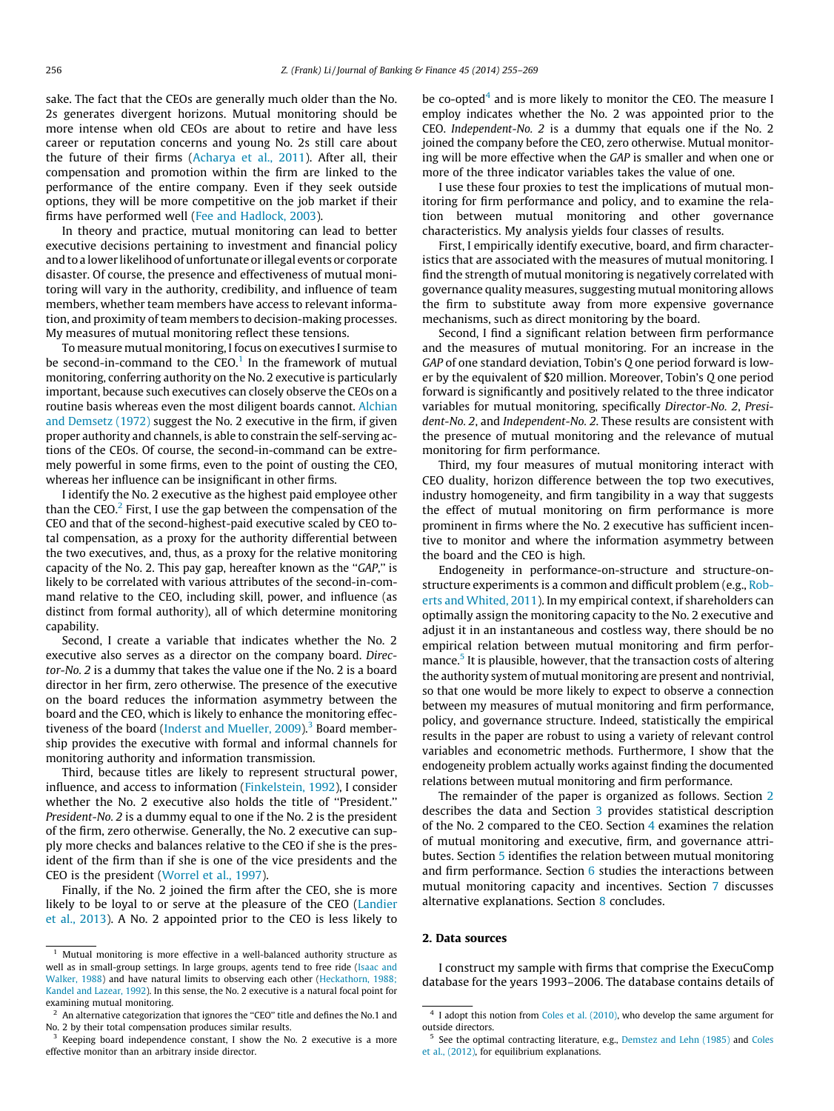sake. The fact that the CEOs are generally much older than the No. 2s generates divergent horizons. Mutual monitoring should be more intense when old CEOs are about to retire and have less career or reputation concerns and young No. 2s still care about the future of their firms ([Acharya et al., 2011](#page--1-0)). After all, their compensation and promotion within the firm are linked to the performance of the entire company. Even if they seek outside options, they will be more competitive on the job market if their firms have performed well ([Fee and Hadlock, 2003\)](#page--1-0).

In theory and practice, mutual monitoring can lead to better executive decisions pertaining to investment and financial policy and to a lower likelihood of unfortunate or illegal events or corporate disaster. Of course, the presence and effectiveness of mutual monitoring will vary in the authority, credibility, and influence of team members, whether team members have access to relevant information, and proximity of team members to decision-making processes. My measures of mutual monitoring reflect these tensions.

To measure mutual monitoring, I focus on executives I surmise to be second-in-command to the  $CEO<sup>1</sup>$  In the framework of mutual monitoring, conferring authority on the No. 2 executive is particularly important, because such executives can closely observe the CEOs on a routine basis whereas even the most diligent boards cannot. [Alchian](#page--1-0) [and Demsetz \(1972\)](#page--1-0) suggest the No. 2 executive in the firm, if given proper authority and channels, is able to constrain the self-serving actions of the CEOs. Of course, the second-in-command can be extremely powerful in some firms, even to the point of ousting the CEO, whereas her influence can be insignificant in other firms.

I identify the No. 2 executive as the highest paid employee other than the CEO. $^2$  First, I use the gap between the compensation of the CEO and that of the second-highest-paid executive scaled by CEO total compensation, as a proxy for the authority differential between the two executives, and, thus, as a proxy for the relative monitoring capacity of the No. 2. This pay gap, hereafter known as the ''GAP,'' is likely to be correlated with various attributes of the second-in-command relative to the CEO, including skill, power, and influence (as distinct from formal authority), all of which determine monitoring capability.

Second, I create a variable that indicates whether the No. 2 executive also serves as a director on the company board. Director-No. 2 is a dummy that takes the value one if the No. 2 is a board director in her firm, zero otherwise. The presence of the executive on the board reduces the information asymmetry between the board and the CEO, which is likely to enhance the monitoring effectiveness of the board (Inderst and Mueller,  $2009$ ).<sup>3</sup> Board membership provides the executive with formal and informal channels for monitoring authority and information transmission.

Third, because titles are likely to represent structural power, influence, and access to information ([Finkelstein, 1992](#page--1-0)), I consider whether the No. 2 executive also holds the title of ''President.'' President-No. 2 is a dummy equal to one if the No. 2 is the president of the firm, zero otherwise. Generally, the No. 2 executive can supply more checks and balances relative to the CEO if she is the president of the firm than if she is one of the vice presidents and the CEO is the president ([Worrel et al., 1997](#page--1-0)).

Finally, if the No. 2 joined the firm after the CEO, she is more likely to be loyal to or serve at the pleasure of the CEO ([Landier](#page--1-0) [et al., 2013](#page--1-0)). A No. 2 appointed prior to the CEO is less likely to

be co-opted<sup>4</sup> and is more likely to monitor the CEO. The measure I employ indicates whether the No. 2 was appointed prior to the CEO. Independent-No. 2 is a dummy that equals one if the No. 2 joined the company before the CEO, zero otherwise. Mutual monitoring will be more effective when the GAP is smaller and when one or more of the three indicator variables takes the value of one.

I use these four proxies to test the implications of mutual monitoring for firm performance and policy, and to examine the relation between mutual monitoring and other governance characteristics. My analysis yields four classes of results.

First, I empirically identify executive, board, and firm characteristics that are associated with the measures of mutual monitoring. I find the strength of mutual monitoring is negatively correlated with governance quality measures, suggesting mutual monitoring allows the firm to substitute away from more expensive governance mechanisms, such as direct monitoring by the board.

Second, I find a significant relation between firm performance and the measures of mutual monitoring. For an increase in the GAP of one standard deviation, Tobin's Q one period forward is lower by the equivalent of \$20 million. Moreover, Tobin's Q one period forward is significantly and positively related to the three indicator variables for mutual monitoring, specifically Director-No. 2, President-No. 2, and Independent-No. 2. These results are consistent with the presence of mutual monitoring and the relevance of mutual monitoring for firm performance.

Third, my four measures of mutual monitoring interact with CEO duality, horizon difference between the top two executives, industry homogeneity, and firm tangibility in a way that suggests the effect of mutual monitoring on firm performance is more prominent in firms where the No. 2 executive has sufficient incentive to monitor and where the information asymmetry between the board and the CEO is high.

Endogeneity in performance-on-structure and structure-onstructure experiments is a common and difficult problem (e.g., [Rob](#page--1-0)[erts and Whited, 2011\)](#page--1-0). In my empirical context, if shareholders can optimally assign the monitoring capacity to the No. 2 executive and adjust it in an instantaneous and costless way, there should be no empirical relation between mutual monitoring and firm performance.<sup>5</sup> It is plausible, however, that the transaction costs of altering the authority system of mutual monitoring are present and nontrivial, so that one would be more likely to expect to observe a connection between my measures of mutual monitoring and firm performance, policy, and governance structure. Indeed, statistically the empirical results in the paper are robust to using a variety of relevant control variables and econometric methods. Furthermore, I show that the endogeneity problem actually works against finding the documented relations between mutual monitoring and firm performance.

The remainder of the paper is organized as follows. Section 2 describes the data and Section [3](#page--1-0) provides statistical description of the No. 2 compared to the CEO. Section [4](#page--1-0) examines the relation of mutual monitoring and executive, firm, and governance attributes. Section [5](#page--1-0) identifies the relation between mutual monitoring and firm performance. Section [6](#page--1-0) studies the interactions between mutual monitoring capacity and incentives. Section [7](#page--1-0) discusses alternative explanations. Section [8](#page--1-0) concludes.

#### 2. Data sources

I construct my sample with firms that comprise the ExecuComp database for the years 1993–2006. The database contains details of

 $1$  Mutual monitoring is more effective in a well-balanced authority structure as well as in small-group settings. In large groups, agents tend to free ride ([Isaac and](#page--1-0) [Walker, 1988\)](#page--1-0) and have natural limits to observing each other [\(Heckathorn, 1988;](#page--1-0) [Kandel and Lazear, 1992](#page--1-0)). In this sense, the No. 2 executive is a natural focal point for examining mutual monitoring.

An alternative categorization that ignores the "CEO" title and defines the No.1 and No. 2 by their total compensation produces similar results.

<sup>&</sup>lt;sup>3</sup> Keeping board independence constant, I show the No. 2 executive is a more effective monitor than an arbitrary inside director.

<sup>&</sup>lt;sup>4</sup> I adopt this notion from [Coles et al. \(2010\),](#page--1-0) who develop the same argument for outside directors.

<sup>5</sup> See the optimal contracting literature, e.g., [Demstez and Lehn \(1985\)](#page--1-0) and [Coles](#page--1-0) [et al., \(2012\)](#page--1-0), for equilibrium explanations.